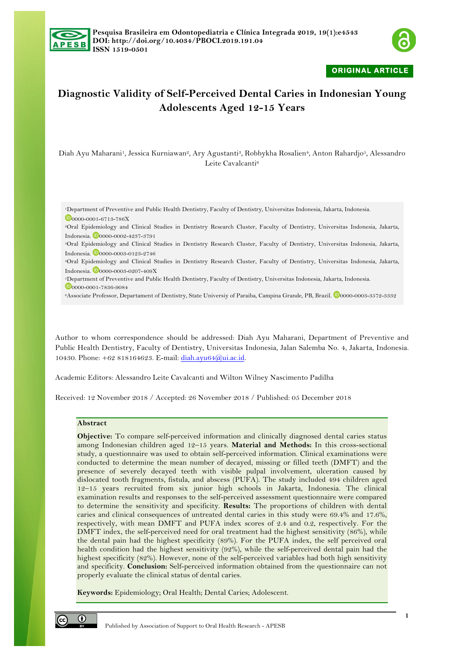



**ORIGINAL ARTICLE** 

# **Diagnostic Validity of Self-Perceived Dental Caries in Indonesian Young Adolescents Aged 12-15 Years**

Diah Ayu Maharani<sup>1</sup>, Jessica Kurniawan<sup>2</sup>, Ary Agustanti<sup>3</sup>, Robbykha Rosalien<sup>4</sup>, Anton Rahardjo<sup>5</sup>, Alessandro Leite Cavalcanti6

1Department of Preventive and Public Health Dentistry, Faculty of Dentistry, Universitas Indonesia, Jakarta, Indonesia. D0000-0001-6713-786X

2Oral Epidemiology and Clinical Studies in Dentistry Research Cluster, Faculty of Dentistry, Universitas Indonesia, Jakarta, Indonesia. 0000-0002-4237-3791

3Oral Epidemiology and Clinical Studies in Dentistry Research Cluster, Faculty of Dentistry, Universitas Indonesia, Jakarta, Indonesia. **0**0000-0003-0123-2746

4Oral Epidemiology and Clinical Studies in Dentistry Research Cluster, Faculty of Dentistry, Universitas Indonesia, Jakarta, Indonesia. 20000-0003-0207-409X

5Department of Preventive and Public Health Dentistry, Faculty of Dentistry, Universitas Indonesia, Jakarta, Indonesia.

D0000-0001-7836-9084

<sup>6</sup>Associate Professor, Departament of Dentistry, State Universiy of Paraiba, Campina Grande, PB, Brazil. <sup>1</sup>0000-0003-3572-3332

Author to whom correspondence should be addressed: Diah Ayu Maharani, Department of Preventive and Public Health Dentistry, Faculty of Dentistry, Universitas Indonesia, Jalan Salemba No. 4, Jakarta, Indonesia. 10430. Phone: +62 818164623. E-mail: diah.ayu64@ui.ac.id.

Academic Editors: Alessandro Leite Cavalcanti and Wilton Wilney Nascimento Padilha

Received: 12 November 2018 / Accepted: 26 November 2018 / Published: 05 December 2018

# **Abstract**

**Objective:** To compare self-perceived information and clinically diagnosed dental caries status among Indonesian children aged 12–15 years. **Material and Methods:** In this cross-sectional study, a questionnaire was used to obtain self-perceived information. Clinical examinations were conducted to determine the mean number of decayed, missing or filled teeth (DMFT) and the presence of severely decayed teeth with visible pulpal involvement, ulceration caused by dislocated tooth fragments, fistula, and abscess (PUFA). The study included 494 children aged 12–15 years recruited from six junior high schools in Jakarta, Indonesia. The clinical examination results and responses to the self-perceived assessment questionnaire were compared to determine the sensitivity and specificity. **Results:** The proportions of children with dental caries and clinical consequences of untreated dental caries in this study were 69.4% and 17.6%, respectively, with mean DMFT and PUFA index scores of 2.4 and 0.2, respectively. For the DMFT index, the self-perceived need for oral treatment had the highest sensitivity (86%), while the dental pain had the highest specificity (89%). For the PUFA index, the self perceived oral health condition had the highest sensitivity (92%), while the self-perceived dental pain had the highest specificity (82%). However, none of the self-perceived variables had both high sensitivity and specificity. **Conclusion:** Self-perceived information obtained from the questionnaire can not properly evaluate the clinical status of dental caries.

**Keywords:** Epidemiology; Oral Health; Dental Caries; Adolescent.

 $\bf \Phi$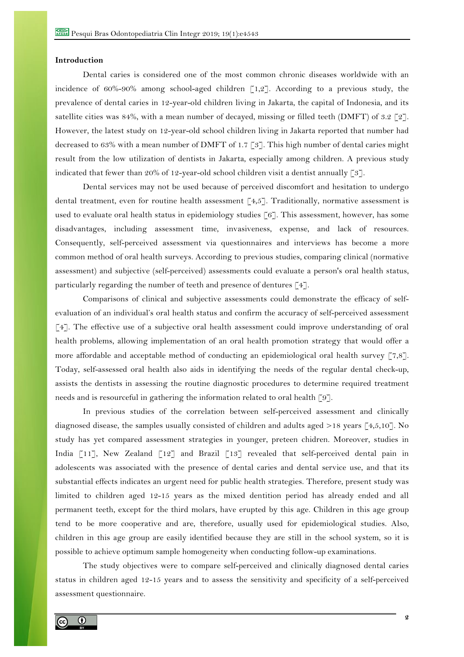#### **Introduction**

Dental caries is considered one of the most common chronic diseases worldwide with an incidence of 60%-90% among school-aged children [1,2]. According to a previous study, the prevalence of dental caries in 12-year-old children living in Jakarta, the capital of Indonesia, and its satellite cities was 84%, with a mean number of decayed, missing or filled teeth (DMFT) of 3.2 [2]. However, the latest study on 12-year-old school children living in Jakarta reported that number had decreased to 63% with a mean number of DMFT of 1.7 [3]. This high number of dental caries might result from the low utilization of dentists in Jakarta, especially among children. A previous study indicated that fewer than 20% of 12-year-old school children visit a dentist annually [3].

Dental services may not be used because of perceived discomfort and hesitation to undergo dental treatment, even for routine health assessment [4,5]. Traditionally, normative assessment is used to evaluate oral health status in epidemiology studies [6]. This assessment, however, has some disadvantages, including assessment time, invasiveness, expense, and lack of resources. Consequently, self-perceived assessment via questionnaires and interviews has become a more common method of oral health surveys. According to previous studies, comparing clinical (normative assessment) and subjective (self-perceived) assessments could evaluate a person's oral health status, particularly regarding the number of teeth and presence of dentures [4].

Comparisons of clinical and subjective assessments could demonstrate the efficacy of selfevaluation of an individual's oral health status and confirm the accuracy of self-perceived assessment [4]. The effective use of a subjective oral health assessment could improve understanding of oral health problems, allowing implementation of an oral health promotion strategy that would offer a more affordable and acceptable method of conducting an epidemiological oral health survey  $[7,8]$ . Today, self-assessed oral health also aids in identifying the needs of the regular dental check-up, assists the dentists in assessing the routine diagnostic procedures to determine required treatment needs and is resourceful in gathering the information related to oral health [9].

In previous studies of the correlation between self-perceived assessment and clinically diagnosed disease, the samples usually consisted of children and adults aged >18 years [4,5,10]. No study has yet compared assessment strategies in younger, preteen chidren. Moreover, studies in India [11], New Zealand [12] and Brazil [13] revealed that self-perceived dental pain in adolescents was associated with the presence of dental caries and dental service use, and that its substantial effects indicates an urgent need for public health strategies. Therefore, present study was limited to children aged 12-15 years as the mixed dentition period has already ended and all permanent teeth, except for the third molars, have erupted by this age. Children in this age group tend to be more cooperative and are, therefore, usually used for epidemiological studies. Also, children in this age group are easily identified because they are still in the school system, so it is possible to achieve optimum sample homogeneity when conducting follow-up examinations.

The study objectives were to compare self-perceived and clinically diagnosed dental caries status in children aged 12-15 years and to assess the sensitivity and specificity of a self-perceived assessment questionnaire.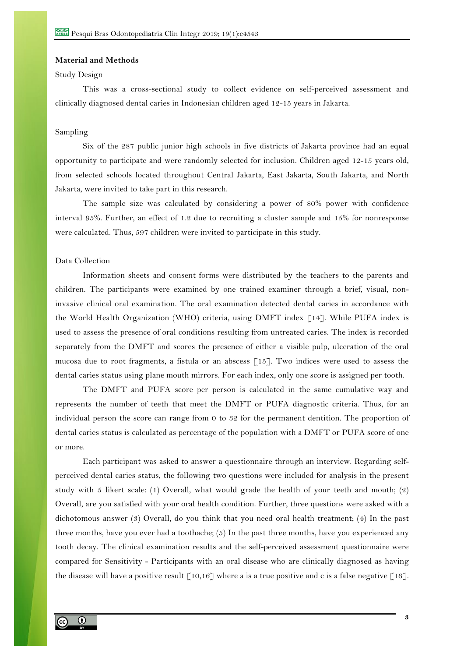# **Material and Methods**

### Study Design

This was a cross-sectional study to collect evidence on self-perceived assessment and clinically diagnosed dental caries in Indonesian children aged 12-15 years in Jakarta.

## Sampling

Six of the 287 public junior high schools in five districts of Jakarta province had an equal opportunity to participate and were randomly selected for inclusion. Children aged 12-15 years old, from selected schools located throughout Central Jakarta, East Jakarta, South Jakarta, and North Jakarta, were invited to take part in this research.

The sample size was calculated by considering a power of 80% power with confidence interval 95%. Further, an effect of 1.2 due to recruiting a cluster sample and 15% for nonresponse were calculated. Thus, 597 children were invited to participate in this study.

## Data Collection

Information sheets and consent forms were distributed by the teachers to the parents and children. The participants were examined by one trained examiner through a brief, visual, noninvasive clinical oral examination. The oral examination detected dental caries in accordance with the World Health Organization (WHO) criteria, using DMFT index [14]. While PUFA index is used to assess the presence of oral conditions resulting from untreated caries. The index is recorded separately from the DMFT and scores the presence of either a visible pulp, ulceration of the oral mucosa due to root fragments, a fistula or an abscess [15]. Two indices were used to assess the dental caries status using plane mouth mirrors. For each index, only one score is assigned per tooth.

The DMFT and PUFA score per person is calculated in the same cumulative way and represents the number of teeth that meet the DMFT or PUFA diagnostic criteria. Thus, for an individual person the score can range from 0 to 32 for the permanent dentition. The proportion of dental caries status is calculated as percentage of the population with a DMFT or PUFA score of one or more.

Each participant was asked to answer a questionnaire through an interview. Regarding selfperceived dental caries status, the following two questions were included for analysis in the present study with 5 likert scale: (1) Overall, what would grade the health of your teeth and mouth; (2) Overall, are you satisfied with your oral health condition. Further, three questions were asked with a dichotomous answer (3) Overall, do you think that you need oral health treatment; (4) In the past three months, have you ever had a toothache; (5) In the past three months, have you experienced any tooth decay. The clinical examination results and the self-perceived assessment questionnaire were compared for Sensitivity - Participants with an oral disease who are clinically diagnosed as having the disease will have a positive result  $[10,16]$  where a is a true positive and c is a false negative  $[16]$ .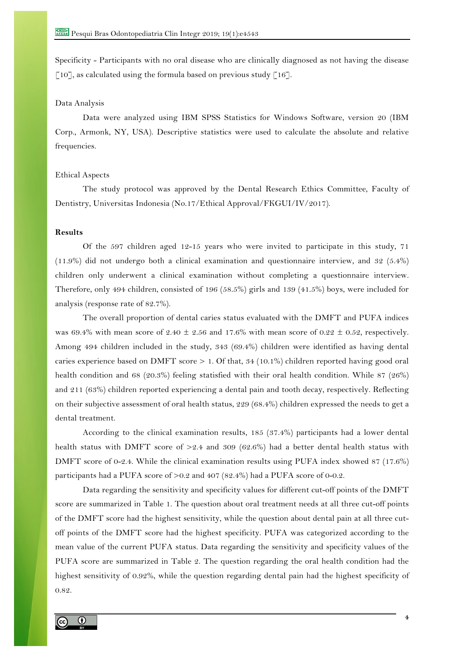Specificity - Participants with no oral disease who are clinically diagnosed as not having the disease  $\lceil 10 \rceil$ , as calculated using the formula based on previous study  $\lceil 16 \rceil$ .

#### Data Analysis

Data were analyzed using IBM SPSS Statistics for Windows Software, version 20 (IBM Corp., Armonk, NY, USA). Descriptive statistics were used to calculate the absolute and relative frequencies.

## Ethical Aspects

The study protocol was approved by the Dental Research Ethics Committee, Faculty of Dentistry, Universitas Indonesia (No.17/Ethical Approval/FKGUI/IV/2017).

#### **Results**

Of the 597 children aged 12-15 years who were invited to participate in this study, 71 (11.9%) did not undergo both a clinical examination and questionnaire interview, and 32 (5.4%) children only underwent a clinical examination without completing a questionnaire interview. Therefore, only 494 children, consisted of 196 (58.5%) girls and 139 (41.5%) boys, were included for analysis (response rate of 82.7%).

The overall proportion of dental caries status evaluated with the DMFT and PUFA indices was 69.4% with mean score of 2.40  $\pm$  2.56 and 17.6% with mean score of 0.22  $\pm$  0.52, respectively. Among 494 children included in the study, 343 (69.4%) children were identified as having dental caries experience based on DMFT score > 1. Of that, 34 (10.1%) children reported having good oral health condition and 68 (20.3%) feeling statisfied with their oral health condition. While 87 (26%) and 211 (63%) children reported experiencing a dental pain and tooth decay, respectively. Reflecting on their subjective assessment of oral health status, 229 (68.4%) children expressed the needs to get a dental treatment.

According to the clinical examination results, 185 (37.4%) participants had a lower dental health status with DMFT score of  $>2.4$  and 309 (62.6%) had a better dental health status with DMFT score of 0-2.4. While the clinical examination results using PUFA index showed 87 (17.6%) participants had a PUFA score of  $>0.2$  and 407 (82.4%) had a PUFA score of 0-0.2.

Data regarding the sensitivity and specificity values for different cut-off points of the DMFT score are summarized in Table 1. The question about oral treatment needs at all three cut-off points of the DMFT score had the highest sensitivity, while the question about dental pain at all three cutoff points of the DMFT score had the highest specificity. PUFA was categorized according to the mean value of the current PUFA status. Data regarding the sensitivity and specificity values of the PUFA score are summarized in Table 2. The question regarding the oral health condition had the highest sensitivity of 0.92%, while the question regarding dental pain had the highest specificity of 0.82.

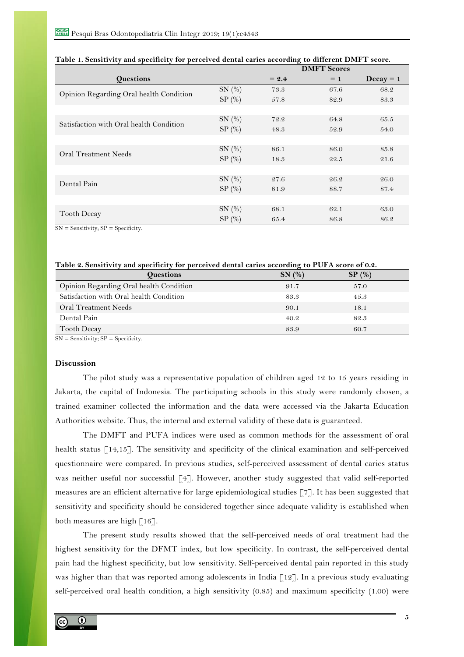|                                         |           | <b>DMFT</b> Scores |       |             |
|-----------------------------------------|-----------|--------------------|-------|-------------|
| Questions                               |           | $= 2.4$            | $= 1$ | $Decay = 1$ |
| Opinion Regarding Oral health Condition | SN(%)     | 73.3               | 67.6  | 68.2        |
|                                         | SP $(\%)$ | 57.8               | 82.9  | 83.3        |
|                                         |           |                    |       |             |
| Satisfaction with Oral health Condition | SN(%)     | 72.2               | 64.8  | 65.5        |
|                                         | SP $(\%)$ | 48.3               | 52.9  | 54.0        |
|                                         |           |                    |       |             |
| <b>Oral Treatment Needs</b>             | SN(%)     | 86.1               | 86.0  | 85.8        |
|                                         | SP $(\%)$ | 18.3               | 22.5  | 21.6        |
|                                         |           |                    |       |             |
| Dental Pain                             | SN(%)     | 27.6               | 26.2  | 26.0        |
|                                         | SP $(\%)$ | 81.9               | 88.7  | 87.4        |
|                                         |           |                    |       |             |
| Tooth Decay                             | SN(%)     | 68.1               | 62.1  | 63.0        |
|                                         | SP(%)     | 65.4               | 86.8  | 86.2        |

# **Table 1. Sensitivity and specificity for perceived dental caries according to different DMFT score.**

 $SN =$  Sensitivity;  $SP =$  Specificity.

| Questions                               | SN(%) | SP(%) |
|-----------------------------------------|-------|-------|
| Opinion Regarding Oral health Condition | 91.7  | 57.0  |
| Satisfaction with Oral health Condition | 83.3  | 45.3  |
| Oral Treatment Needs                    | 90.1  | 18.1  |
| Dental Pain                             | 40.2  | 82.3  |
| Tooth Decay                             | 83.9  | 60.7  |

 $SN =$  Sensitivity;  $SP =$  Specificity.

# **Discussion**

The pilot study was a representative population of children aged 12 to 15 years residing in Jakarta, the capital of Indonesia. The participating schools in this study were randomly chosen, a trained examiner collected the information and the data were accessed via the Jakarta Education Authorities website. Thus, the internal and external validity of these data is guaranteed.

The DMFT and PUFA indices were used as common methods for the assessment of oral health status [14,15]. The sensitivity and specificity of the clinical examination and self-perceived questionnaire were compared. In previous studies, self-perceived assessment of dental caries status was neither useful nor successful [4]. However, another study suggested that valid self-reported measures are an efficient alternative for large epidemiological studies [7]. It has been suggested that sensitivity and specificity should be considered together since adequate validity is established when both measures are high [16].

The present study results showed that the self-perceived needs of oral treatment had the highest sensitivity for the DFMT index, but low specificity. In contrast, the self-perceived dental pain had the highest specificity, but low sensitivity. Self-perceived dental pain reported in this study was higher than that was reported among adolescents in India  $\lceil 12 \rceil$ . In a previous study evaluating self-perceived oral health condition, a high sensitivity (0.85) and maximum specificity (1.00) were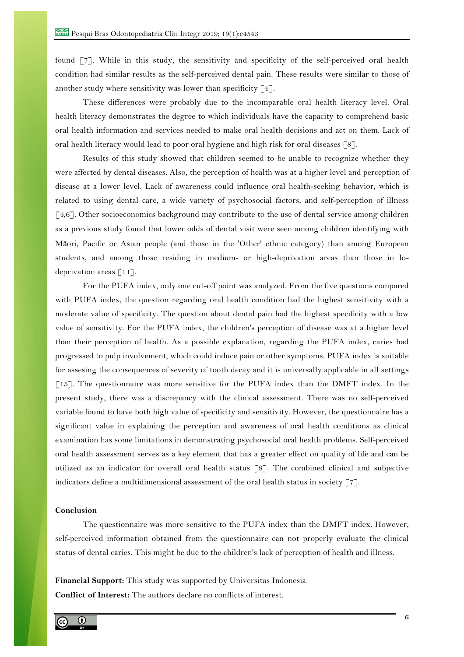found [7]. While in this study, the sensitivity and specificity of the self-perceived oral health condition had similar results as the self-perceived dental pain. These results were similar to those of another study where sensitivity was lower than specificity [4].

These differences were probably due to the incomparable oral health literacy level. Oral health literacy demonstrates the degree to which individuals have the capacity to comprehend basic oral health information and services needed to make oral health decisions and act on them. Lack of oral health literacy would lead to poor oral hygiene and high risk for oral diseases [8].

Results of this study showed that children seemed to be unable to recognize whether they were affected by dental diseases. Also, the perception of health was at a higher level and perception of disease at a lower level. Lack of awareness could influence oral health-seeking behavior, which is related to using dental care, a wide variety of psychosocial factors, and self-perception of illness  $[4,6]$ . Other socioeconomics background may contribute to the use of dental service among children as a previous study found that lower odds of dental visit were seen among children identifying with Māori, Pacific or Asian people (and those in the 'Other' ethnic category) than among European students, and among those residing in medium- or high-deprivation areas than those in lodeprivation areas [11].

For the PUFA index, only one cut-off point was analyzed. From the five questions compared with PUFA index, the question regarding oral health condition had the highest sensitivity with a moderate value of specificity. The question about dental pain had the highest specificity with a low value of sensitivity. For the PUFA index, the children's perception of disease was at a higher level than their perception of health. As a possible explanation, regarding the PUFA index, caries had progressed to pulp involvement, which could induce pain or other symptoms. PUFA index is suitable for assesing the consequences of severity of tooth decay and it is universally applicable in all settings [15]. The questionnaire was more sensitive for the PUFA index than the DMFT index. In the present study, there was a discrepancy with the clinical assessment. There was no self-perceived variable found to have both high value of specificity and sensitivity. However, the questionnaire has a significant value in explaining the perception and awareness of oral health conditions as clinical examination has some limitations in demonstrating psychosocial oral health problems. Self-perceived oral health assessment serves as a key element that has a greater effect on quality of life and can be utilized as an indicator for overall oral health status [8]. The combined clinical and subjective indicators define a multidimensional assessment of the oral health status in society [7].

## **Conclusion**

The questionnaire was more sensitive to the PUFA index than the DMFT index. However, self-perceived information obtained from the questionnaire can not properly evaluate the clinical status of dental caries. This might be due to the children's lack of perception of health and illness.

**Financial Support:** This study was supported by Universitas Indonesia. **Conflict of Interest:** The authors declare no conflicts of interest.